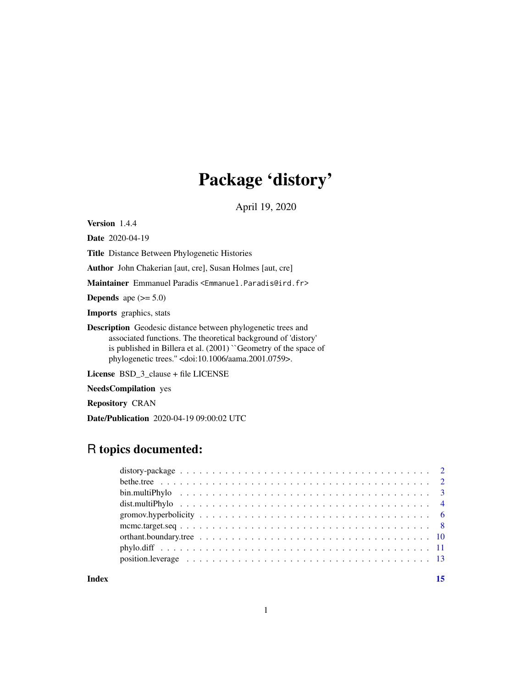# Package 'distory'

April 19, 2020

<span id="page-0-0"></span>Version 1.4.4

Date 2020-04-19

Title Distance Between Phylogenetic Histories

Author John Chakerian [aut, cre], Susan Holmes [aut, cre]

Maintainer Emmanuel Paradis <Emmanuel.Paradis@ird.fr>

**Depends** ape  $(>= 5.0)$ 

Imports graphics, stats

Description Geodesic distance between phylogenetic trees and associated functions. The theoretical background of 'distory' is published in Billera et al. (2001) ``Geometry of the space of phylogenetic trees.'' <doi:10.1006/aama.2001.0759>.

License BSD\_3\_clause + file LICENSE

NeedsCompilation yes

Repository CRAN

Date/Publication 2020-04-19 09:00:02 UTC

# R topics documented:

**Index** [15](#page-14-0)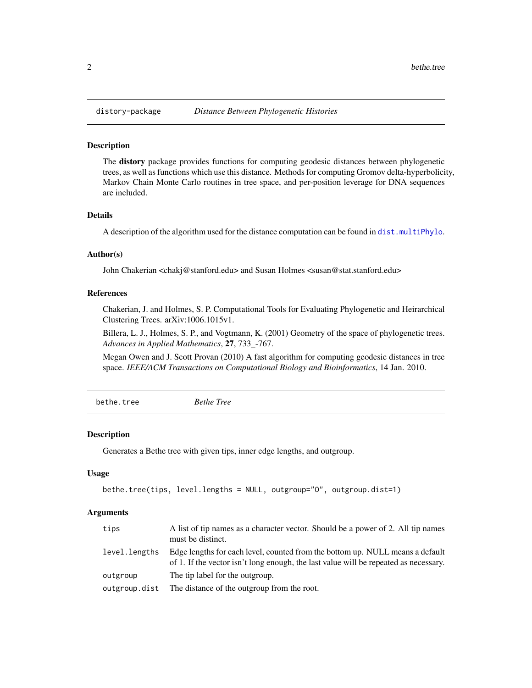#### **Description**

The distory package provides functions for computing geodesic distances between phylogenetic trees, as well as functions which use this distance. Methods for computing Gromov delta-hyperbolicity, Markov Chain Monte Carlo routines in tree space, and per-position leverage for DNA sequences are included.

#### Details

A description of the algorithm used for the distance computation can be found in [dist.multiPhylo](#page-3-1).

#### Author(s)

John Chakerian <chakj@stanford.edu> and Susan Holmes <susan@stat.stanford.edu>

#### References

Chakerian, J. and Holmes, S. P. Computational Tools for Evaluating Phylogenetic and Heirarchical Clustering Trees. arXiv:1006.1015v1.

Billera, L. J., Holmes, S. P., and Vogtmann, K. (2001) Geometry of the space of phylogenetic trees. *Advances in Applied Mathematics*, 27, 733\_-767.

Megan Owen and J. Scott Provan (2010) A fast algorithm for computing geodesic distances in tree space. *IEEE/ACM Transactions on Computational Biology and Bioinformatics*, 14 Jan. 2010.

bethe.tree *Bethe Tree*

#### Description

Generates a Bethe tree with given tips, inner edge lengths, and outgroup.

#### Usage

```
bethe.tree(tips, level.lengths = NULL, outgroup="O", outgroup.dist=1)
```
#### Arguments

| tips          | A list of tip names as a character vector. Should be a power of 2. All tip names<br>must be distinct.                                                                 |
|---------------|-----------------------------------------------------------------------------------------------------------------------------------------------------------------------|
| level.lengths | Edge lengths for each level, counted from the bottom up. NULL means a default<br>of 1. If the vector isn't long enough, the last value will be repeated as necessary. |
| outgroup      | The tip label for the outgroup.                                                                                                                                       |
| outgroup.dist | The distance of the outgroup from the root.                                                                                                                           |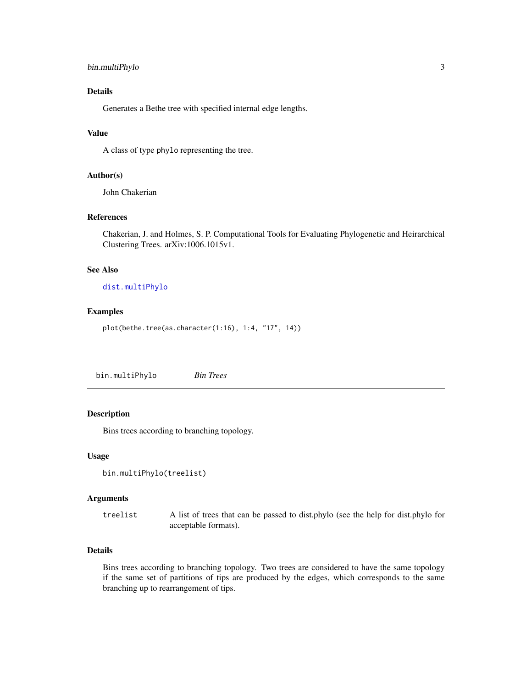# <span id="page-2-0"></span>bin.multiPhylo 3

# Details

Generates a Bethe tree with specified internal edge lengths.

# Value

A class of type phylo representing the tree.

#### Author(s)

John Chakerian

#### References

Chakerian, J. and Holmes, S. P. Computational Tools for Evaluating Phylogenetic and Heirarchical Clustering Trees. arXiv:1006.1015v1.

# See Also

# [dist.multiPhylo](#page-3-1)

#### Examples

plot(bethe.tree(as.character(1:16), 1:4, "17", 14))

bin.multiPhylo *Bin Trees*

#### Description

Bins trees according to branching topology.

#### Usage

```
bin.multiPhylo(treelist)
```
#### Arguments

treelist A list of trees that can be passed to dist.phylo (see the help for dist.phylo for acceptable formats).

# Details

Bins trees according to branching topology. Two trees are considered to have the same topology if the same set of partitions of tips are produced by the edges, which corresponds to the same branching up to rearrangement of tips.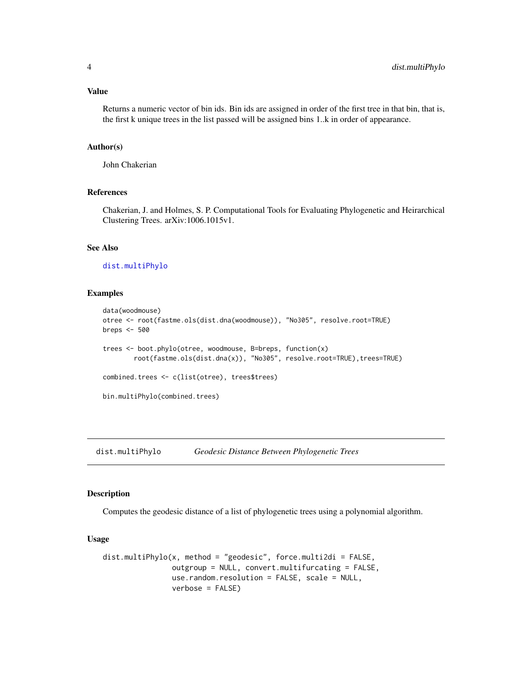# <span id="page-3-0"></span>Value

Returns a numeric vector of bin ids. Bin ids are assigned in order of the first tree in that bin, that is, the first k unique trees in the list passed will be assigned bins 1..k in order of appearance.

#### Author(s)

John Chakerian

# References

Chakerian, J. and Holmes, S. P. Computational Tools for Evaluating Phylogenetic and Heirarchical Clustering Trees. arXiv:1006.1015v1.

# See Also

[dist.multiPhylo](#page-3-1)

#### Examples

```
data(woodmouse)
otree <- root(fastme.ols(dist.dna(woodmouse)), "No305", resolve.root=TRUE)
breps <- 500
trees <- boot.phylo(otree, woodmouse, B=breps, function(x)
       root(fastme.ols(dist.dna(x)), "No305", resolve.root=TRUE),trees=TRUE)
combined.trees <- c(list(otree), trees$trees)
bin.multiPhylo(combined.trees)
```
<span id="page-3-1"></span>dist.multiPhylo *Geodesic Distance Between Phylogenetic Trees*

#### Description

Computes the geodesic distance of a list of phylogenetic trees using a polynomial algorithm.

# Usage

```
dist.multiPhylo(x, method = "geodesic", force.multi2di = FALSE,
                outgroup = NULL, convert.multifurcating = FALSE,
                use.random.resolution = FALSE, scale = NULL,
                verbose = FALSE)
```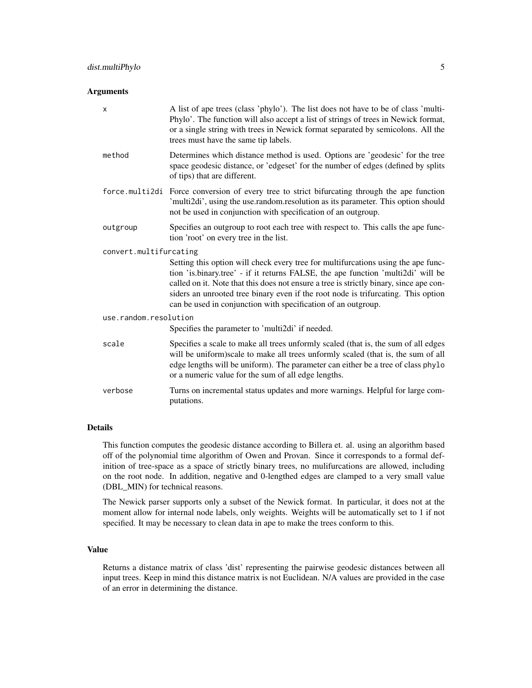#### **Arguments**

| X                      | A list of ape trees (class 'phylo'). The list does not have to be of class 'multi-<br>Phylo'. The function will also accept a list of strings of trees in Newick format,<br>or a single string with trees in Newick format separated by semicolons. All the<br>trees must have the same tip labels.                                                                                                                   |
|------------------------|-----------------------------------------------------------------------------------------------------------------------------------------------------------------------------------------------------------------------------------------------------------------------------------------------------------------------------------------------------------------------------------------------------------------------|
| method                 | Determines which distance method is used. Options are 'geodesic' for the tree<br>space geodesic distance, or 'edgeset' for the number of edges (defined by splits<br>of tips) that are different.                                                                                                                                                                                                                     |
|                        | force.multi2di Force conversion of every tree to strict bifurcating through the ape function<br>'multi2di', using the use.random.resolution as its parameter. This option should<br>not be used in conjunction with specification of an outgroup.                                                                                                                                                                     |
| outgroup               | Specifies an outgroup to root each tree with respect to. This calls the ape func-<br>tion 'root' on every tree in the list.                                                                                                                                                                                                                                                                                           |
| convert.multifurcating |                                                                                                                                                                                                                                                                                                                                                                                                                       |
|                        | Setting this option will check every tree for multifurcations using the ape func-<br>tion 'is.binary.tree' - if it returns FALSE, the ape function 'multi2di' will be<br>called on it. Note that this does not ensure a tree is strictly binary, since ape con-<br>siders an unrooted tree binary even if the root node is trifurcating. This option<br>can be used in conjunction with specification of an outgroup. |
| use.random.resolution  |                                                                                                                                                                                                                                                                                                                                                                                                                       |
|                        | Specifies the parameter to 'multi2di' if needed.                                                                                                                                                                                                                                                                                                                                                                      |
| scale                  | Specifies a scale to make all trees unformly scaled (that is, the sum of all edges<br>will be uniform) scale to make all trees unformly scaled (that is, the sum of all<br>edge lengths will be uniform). The parameter can either be a tree of class phylo<br>or a numeric value for the sum of all edge lengths.                                                                                                    |
| verbose                | Turns on incremental status updates and more warnings. Helpful for large com-<br>putations.                                                                                                                                                                                                                                                                                                                           |

# Details

This function computes the geodesic distance according to Billera et. al. using an algorithm based off of the polynomial time algorithm of Owen and Provan. Since it corresponds to a formal definition of tree-space as a space of strictly binary trees, no mulifurcations are allowed, including on the root node. In addition, negative and 0-lengthed edges are clamped to a very small value (DBL\_MIN) for technical reasons.

The Newick parser supports only a subset of the Newick format. In particular, it does not at the moment allow for internal node labels, only weights. Weights will be automatically set to 1 if not specified. It may be necessary to clean data in ape to make the trees conform to this.

# Value

Returns a distance matrix of class 'dist' representing the pairwise geodesic distances between all input trees. Keep in mind this distance matrix is not Euclidean. N/A values are provided in the case of an error in determining the distance.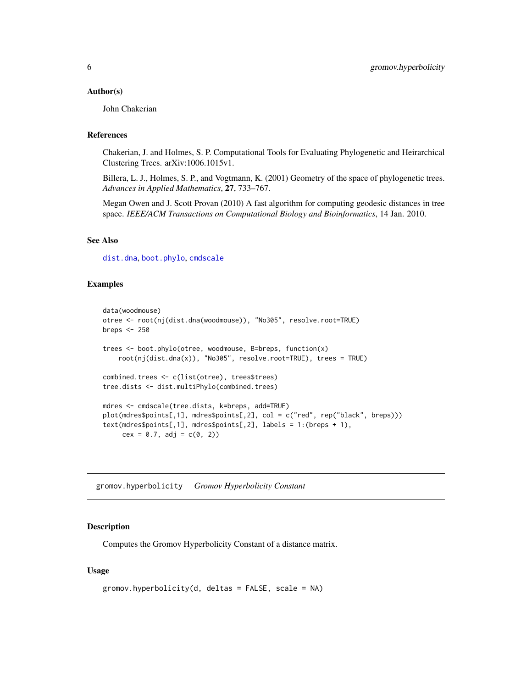#### <span id="page-5-0"></span>Author(s)

John Chakerian

# References

Chakerian, J. and Holmes, S. P. Computational Tools for Evaluating Phylogenetic and Heirarchical Clustering Trees. arXiv:1006.1015v1.

Billera, L. J., Holmes, S. P., and Vogtmann, K. (2001) Geometry of the space of phylogenetic trees. *Advances in Applied Mathematics*, 27, 733–767.

Megan Owen and J. Scott Provan (2010) A fast algorithm for computing geodesic distances in tree space. *IEEE/ACM Transactions on Computational Biology and Bioinformatics*, 14 Jan. 2010.

#### See Also

[dist.dna](#page-0-0), [boot.phylo](#page-0-0), [cmdscale](#page-0-0)

#### Examples

```
data(woodmouse)
otree <- root(nj(dist.dna(woodmouse)), "No305", resolve.root=TRUE)
breps <- 250
trees <- boot.phylo(otree, woodmouse, B=breps, function(x)
    root(nj(dist.dna(x)), "No305", resolve.root=TRUE), trees = TRUE)
combined.trees <- c(list(otree), trees$trees)
tree.dists <- dist.multiPhylo(combined.trees)
mdres <- cmdscale(tree.dists, k=breps, add=TRUE)
plot(mdres$points[,1], mdres$points[,2], col = c("red", rep("black", breps)))
text(mdres$points[,1], mdres$points[,2], labels = 1:(breps + 1),
     cex = 0.7, adj = c(0, 2)
```
gromov.hyperbolicity *Gromov Hyperbolicity Constant*

#### **Description**

Computes the Gromov Hyperbolicity Constant of a distance matrix.

#### Usage

```
gromov.hyperbolicity(d, deltas = FALSE, scale = NA)
```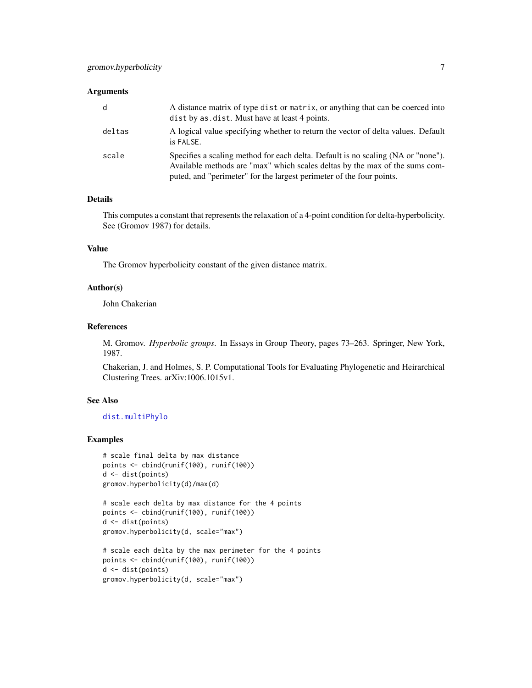#### <span id="page-6-0"></span>**Arguments**

| d      | A distance matrix of type dist or matrix, or anything that can be coerced into<br>dist by as dist. Must have at least 4 points.                                                                                                         |
|--------|-----------------------------------------------------------------------------------------------------------------------------------------------------------------------------------------------------------------------------------------|
| deltas | A logical value specifying whether to return the vector of delta values. Default<br>is FALSE.                                                                                                                                           |
| scale  | Specifies a scaling method for each delta. Default is no scaling (NA or "none").<br>Available methods are "max" which scales deltas by the max of the sums com-<br>puted, and "perimeter" for the largest perimeter of the four points. |

### Details

This computes a constant that represents the relaxation of a 4-point condition for delta-hyperbolicity. See (Gromov 1987) for details.

# Value

The Gromov hyperbolicity constant of the given distance matrix.

# Author(s)

John Chakerian

# References

M. Gromov. *Hyperbolic groups*. In Essays in Group Theory, pages 73–263. Springer, New York, 1987.

Chakerian, J. and Holmes, S. P. Computational Tools for Evaluating Phylogenetic and Heirarchical Clustering Trees. arXiv:1006.1015v1.

# See Also

#### [dist.multiPhylo](#page-3-1)

#### Examples

```
# scale final delta by max distance
points <- cbind(runif(100), runif(100))
d <- dist(points)
gromov.hyperbolicity(d)/max(d)
```

```
# scale each delta by max distance for the 4 points
points <- cbind(runif(100), runif(100))
d <- dist(points)
gromov.hyperbolicity(d, scale="max")
```

```
# scale each delta by the max perimeter for the 4 points
points <- cbind(runif(100), runif(100))
d <- dist(points)
gromov.hyperbolicity(d, scale="max")
```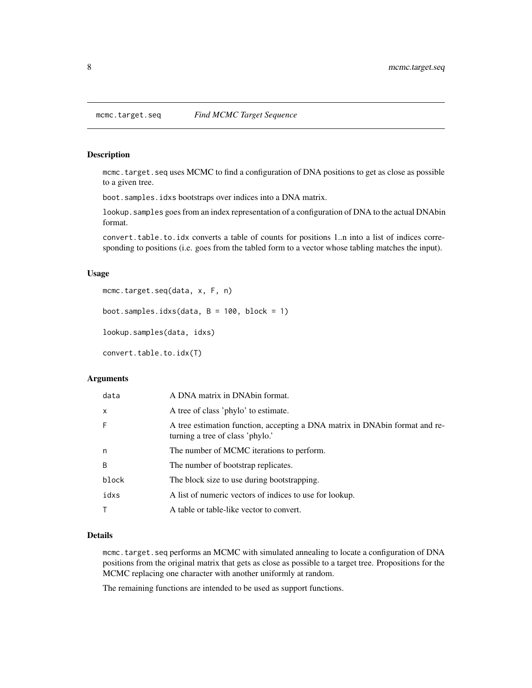<span id="page-7-1"></span><span id="page-7-0"></span>

# Description

mcmc.target.seq uses MCMC to find a configuration of DNA positions to get as close as possible to a given tree.

boot.samples.idxs bootstraps over indices into a DNA matrix.

lookup. samples goes from an index representation of a configuration of DNA to the actual DNAbin format.

convert.table.to.idx converts a table of counts for positions 1..n into a list of indices corresponding to positions (i.e. goes from the tabled form to a vector whose tabling matches the input).

#### Usage

```
mcmc.target.seq(data, x, F, n)
```

```
boot.samples.idxs(data, B = 100, block = 1)
```
lookup.samples(data, idxs)

convert.table.to.idx(T)

#### Arguments

| data         | A DNA matrix in DNAbin format.                                                                                  |
|--------------|-----------------------------------------------------------------------------------------------------------------|
| $\mathsf{x}$ | A tree of class 'phylo' to estimate.                                                                            |
| F            | A tree estimation function, accepting a DNA matrix in DNAbin format and re-<br>turning a tree of class 'phylo.' |
| n            | The number of MCMC iterations to perform.                                                                       |
| B            | The number of bootstrap replicates.                                                                             |
| block        | The block size to use during bootstrapping.                                                                     |
| idxs         | A list of numeric vectors of indices to use for lookup.                                                         |
| т            | A table or table-like vector to convert.                                                                        |
|              |                                                                                                                 |

#### Details

mcmc.target.seq performs an MCMC with simulated annealing to locate a configuration of DNA positions from the original matrix that gets as close as possible to a target tree. Propositions for the MCMC replacing one character with another uniformly at random.

The remaining functions are intended to be used as support functions.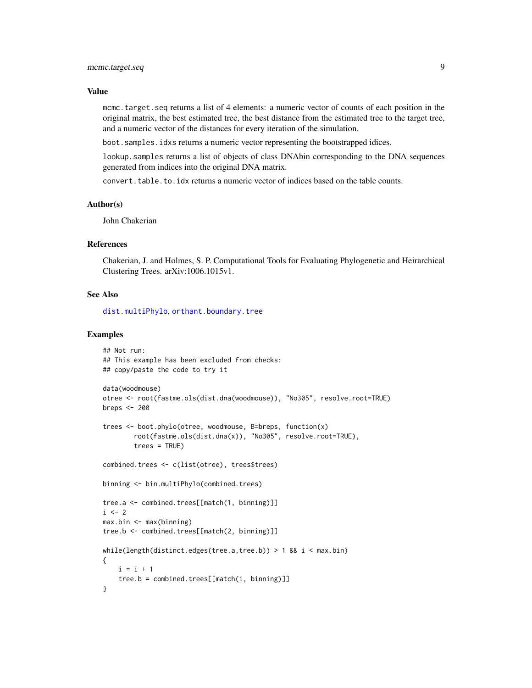#### <span id="page-8-0"></span>Value

mcmc.target.seq returns a list of 4 elements: a numeric vector of counts of each position in the original matrix, the best estimated tree, the best distance from the estimated tree to the target tree, and a numeric vector of the distances for every iteration of the simulation.

boot.samples.idxs returns a numeric vector representing the bootstrapped idices.

lookup.samples returns a list of objects of class DNAbin corresponding to the DNA sequences generated from indices into the original DNA matrix.

convert.table.to.idx returns a numeric vector of indices based on the table counts.

#### Author(s)

John Chakerian

# References

Chakerian, J. and Holmes, S. P. Computational Tools for Evaluating Phylogenetic and Heirarchical Clustering Trees. arXiv:1006.1015v1.

#### See Also

[dist.multiPhylo](#page-3-1), [orthant.boundary.tree](#page-9-1)

#### Examples

```
## Not run:
## This example has been excluded from checks:
## copy/paste the code to try it
data(woodmouse)
otree <- root(fastme.ols(dist.dna(woodmouse)), "No305", resolve.root=TRUE)
breps <- 200
trees <- boot.phylo(otree, woodmouse, B=breps, function(x)
        root(fastme.ols(dist.dna(x)), "No305", resolve.root=TRUE),
        trees = TRUE)
combined.trees <- c(list(otree), trees$trees)
binning <- bin.multiPhylo(combined.trees)
tree.a <- combined.trees[[match(1, binning)]]
i \leq 2max.bin <- max(binning)
tree.b <- combined.trees[[match(2, binning)]]
while(length(distinct.edges(tree.a,tree.b)) > 1 && i < max.bin)
{
   i = i + 1tree.b = combined.trees[[match(i, binning)]]
}
```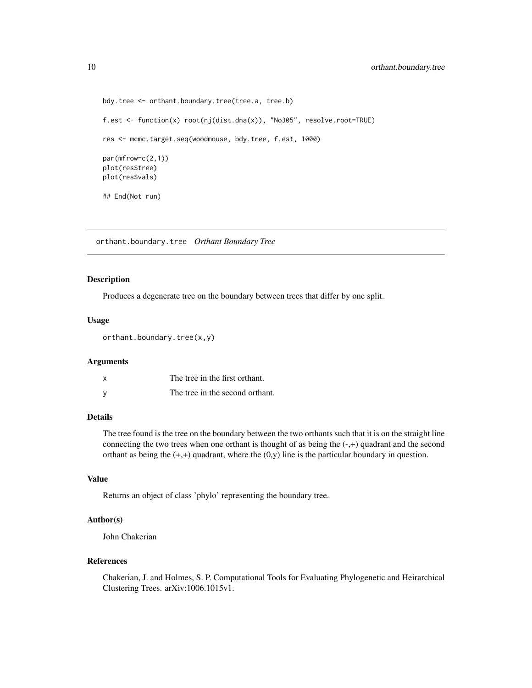```
bdy.tree <- orthant.boundary.tree(tree.a, tree.b)
f.est <- function(x) root(nj(dist.dna(x)), "No305", resolve.root=TRUE)
res <- mcmc.target.seq(woodmouse, bdy.tree, f.est, 1000)
par(mfrow=c(2,1))
plot(res$tree)
plot(res$vals)
## End(Not run)
```
<span id="page-9-1"></span>orthant.boundary.tree *Orthant Boundary Tree*

#### Description

Produces a degenerate tree on the boundary between trees that differ by one split.

# Usage

```
orthant.boundary.tree(x,y)
```
#### Arguments

| X        | The tree in the first orthant.  |
|----------|---------------------------------|
| <b>V</b> | The tree in the second orthant. |

#### Details

The tree found is the tree on the boundary between the two orthants such that it is on the straight line connecting the two trees when one orthant is thought of as being the  $(-,+)$  quadrant and the second orthant as being the  $(+,+)$  quadrant, where the  $(0,y)$  line is the particular boundary in question.

# Value

Returns an object of class 'phylo' representing the boundary tree.

# Author(s)

John Chakerian

#### References

Chakerian, J. and Holmes, S. P. Computational Tools for Evaluating Phylogenetic and Heirarchical Clustering Trees. arXiv:1006.1015v1.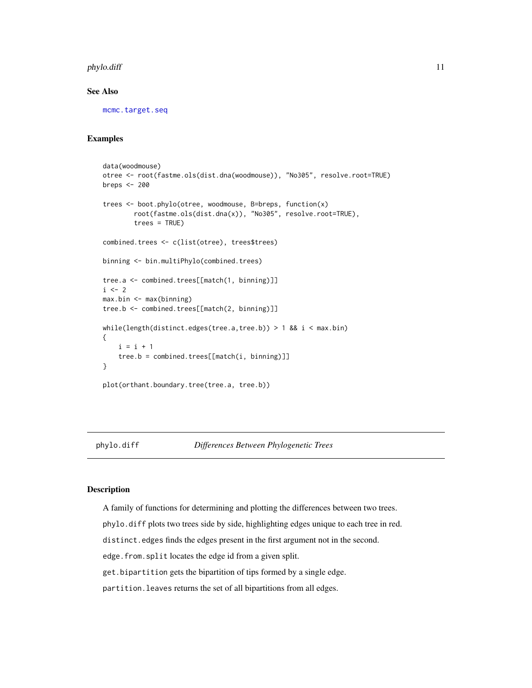#### <span id="page-10-0"></span>phylo.diff the contract of the contract of the contract of the contract of the contract of the contract of the contract of the contract of the contract of the contract of the contract of the contract of the contract of the

#### See Also

[mcmc.target.seq](#page-7-1)

# Examples

```
data(woodmouse)
otree <- root(fastme.ols(dist.dna(woodmouse)), "No305", resolve.root=TRUE)
breps <- 200
trees <- boot.phylo(otree, woodmouse, B=breps, function(x)
        root(fastme.ols(dist.dna(x)), "No305", resolve.root=TRUE),
        trees = TRUE)
combined.trees <- c(list(otree), trees$trees)
binning <- bin.multiPhylo(combined.trees)
tree.a <- combined.trees[[match(1, binning)]]
i \leq -2max.bin <- max(binning)
tree.b <- combined.trees[[match(2, binning)]]
while(length(distinct.edges(tree.a,tree.b)) > 1 && i < max.bin)
{
    i = i + 1tree.b = combined.trees[[match(i, binning)]]
}
plot(orthant.boundary.tree(tree.a, tree.b))
```
phylo.diff *Differences Between Phylogenetic Trees*

#### Description

A family of functions for determining and plotting the differences between two trees.

phylo.diff plots two trees side by side, highlighting edges unique to each tree in red.

distinct.edges finds the edges present in the first argument not in the second.

edge.from.split locates the edge id from a given split.

get.bipartition gets the bipartition of tips formed by a single edge.

partition.leaves returns the set of all bipartitions from all edges.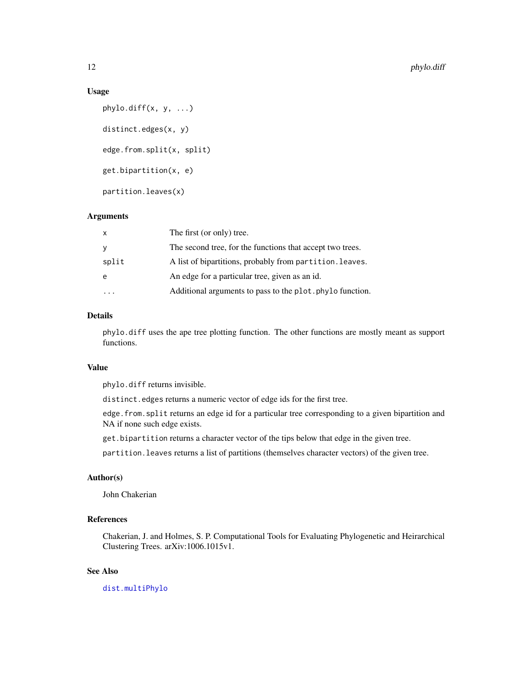#### <span id="page-11-0"></span>Usage

```
phylo.diff(x, y, ...)distinct.edges(x, y)
edge.from.split(x, split)
get.bipartition(x, e)
partition.leaves(x)
```
# Arguments

| x     | The first (or only) tree.                                 |
|-------|-----------------------------------------------------------|
| У     | The second tree, for the functions that accept two trees. |
| split | A list of bipartitions, probably from partition. leaves.  |
| e     | An edge for a particular tree, given as an id.            |
|       | Additional arguments to pass to the plot. phylo function. |

# Details

phylo.diff uses the ape tree plotting function. The other functions are mostly meant as support functions.

# Value

phylo.diff returns invisible.

distinct.edges returns a numeric vector of edge ids for the first tree.

edge.from.split returns an edge id for a particular tree corresponding to a given bipartition and NA if none such edge exists.

get.bipartition returns a character vector of the tips below that edge in the given tree.

partition.leaves returns a list of partitions (themselves character vectors) of the given tree.

# Author(s)

John Chakerian

# References

Chakerian, J. and Holmes, S. P. Computational Tools for Evaluating Phylogenetic and Heirarchical Clustering Trees. arXiv:1006.1015v1.

# See Also

[dist.multiPhylo](#page-3-1)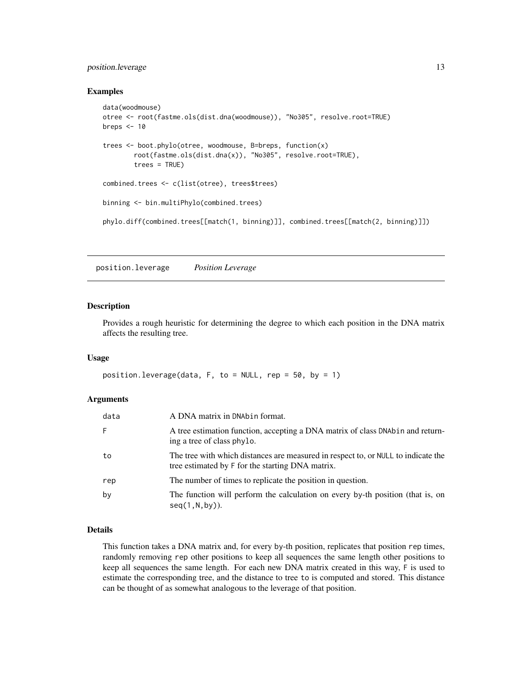# <span id="page-12-0"></span>position.leverage 13

#### Examples

```
data(woodmouse)
otree <- root(fastme.ols(dist.dna(woodmouse)), "No305", resolve.root=TRUE)
breps <-10trees <- boot.phylo(otree, woodmouse, B=breps, function(x)
        root(fastme.ols(dist.dna(x)), "No305", resolve.root=TRUE),
        trees = TRUE)
combined.trees <- c(list(otree), trees$trees)
binning <- bin.multiPhylo(combined.trees)
phylo.diff(combined.trees[[match(1, binning)]], combined.trees[[match(2, binning)]])
```
position.leverage *Position Leverage*

#### Description

Provides a rough heuristic for determining the degree to which each position in the DNA matrix affects the resulting tree.

# Usage

```
position.leverage(data, F, to = NULL, rep = 50, by = 1)
```
#### Arguments

| data | A DNA matrix in DNAbin format.                                                                                                        |
|------|---------------------------------------------------------------------------------------------------------------------------------------|
| F.   | A tree estimation function, accepting a DNA matrix of class DNAbin and return-<br>ing a tree of class phylo.                          |
| to   | The tree with which distances are measured in respect to, or NULL to indicate the<br>tree estimated by F for the starting DNA matrix. |
| rep  | The number of times to replicate the position in question.                                                                            |
| by   | The function will perform the calculation on every by-th position (that is, on<br>$seq(1, N, by))$ .                                  |

# Details

This function takes a DNA matrix and, for every by-th position, replicates that position rep times, randomly removing rep other positions to keep all sequences the same length other positions to keep all sequences the same length. For each new DNA matrix created in this way, F is used to estimate the corresponding tree, and the distance to tree to is computed and stored. This distance can be thought of as somewhat analogous to the leverage of that position.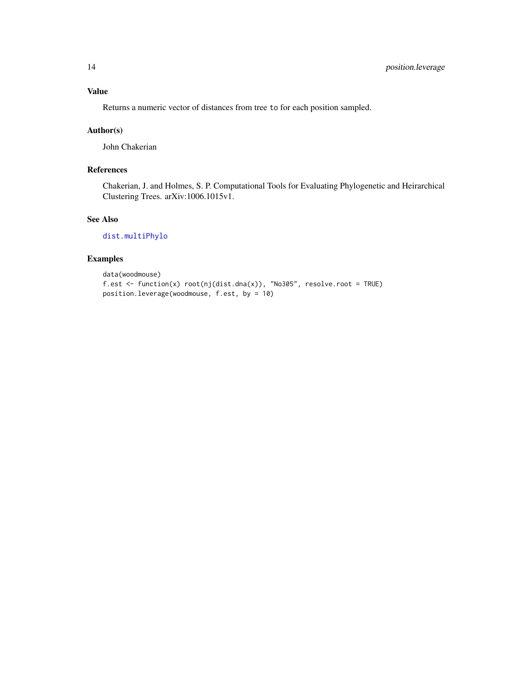<span id="page-13-0"></span>Returns a numeric vector of distances from tree to for each position sampled.

# Author(s)

John Chakerian

# References

Chakerian, J. and Holmes, S. P. Computational Tools for Evaluating Phylogenetic and Heirarchical Clustering Trees. arXiv:1006.1015v1.

# See Also

[dist.multiPhylo](#page-3-1)

# Examples

```
data(woodmouse)
f.est <- function(x) root(nj(dist.dna(x)), "No305", resolve.root = TRUE)
position.leverage(woodmouse, f.est, by = 10)
```